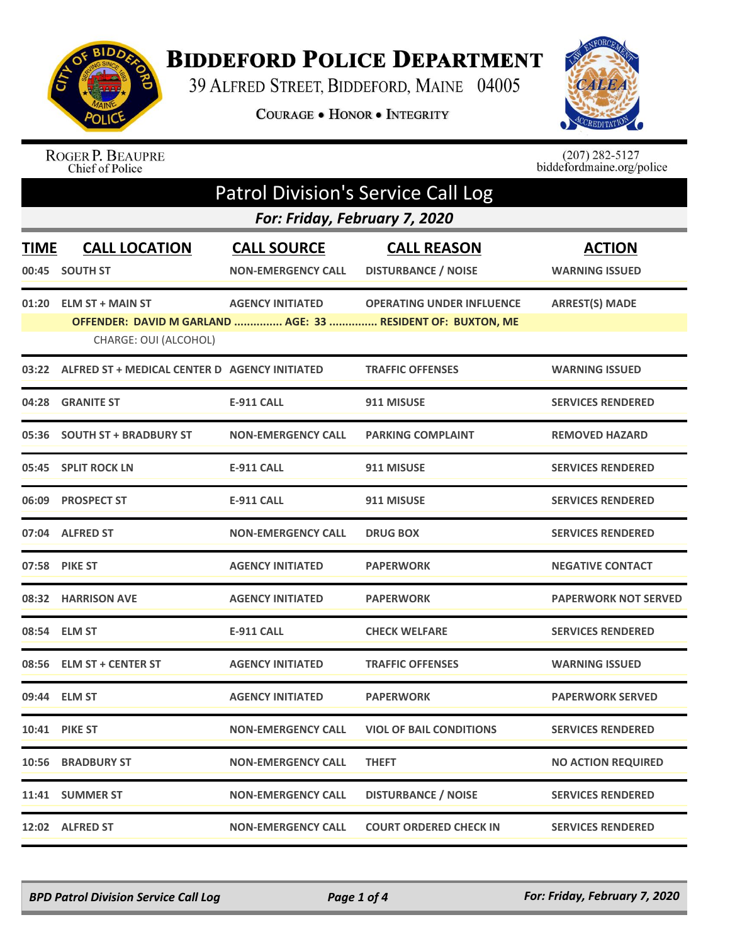

## **BIDDEFORD POLICE DEPARTMENT**

39 ALFRED STREET, BIDDEFORD, MAINE 04005

COURAGE . HONOR . INTEGRITY



## ROGER P. BEAUPRE<br>Chief of Police

 $(207)$  282-5127<br>biddefordmaine.org/police

| <b>Patrol Division's Service Call Log</b> |                                                  |                                                 |                                                                                                 |                                        |  |  |
|-------------------------------------------|--------------------------------------------------|-------------------------------------------------|-------------------------------------------------------------------------------------------------|----------------------------------------|--|--|
|                                           | For: Friday, February 7, 2020                    |                                                 |                                                                                                 |                                        |  |  |
| <b>TIME</b><br>00:45                      | <b>CALL LOCATION</b><br><b>SOUTH ST</b>          | <b>CALL SOURCE</b><br><b>NON-EMERGENCY CALL</b> | <b>CALL REASON</b><br><b>DISTURBANCE / NOISE</b>                                                | <b>ACTION</b><br><b>WARNING ISSUED</b> |  |  |
| 01:20                                     | <b>ELM ST + MAIN ST</b><br>CHARGE: OUI (ALCOHOL) | <b>AGENCY INITIATED</b>                         | <b>OPERATING UNDER INFLUENCE</b><br>OFFENDER: DAVID M GARLAND  AGE: 33  RESIDENT OF: BUXTON, ME | <b>ARREST(S) MADE</b>                  |  |  |
| 03:22                                     | ALFRED ST + MEDICAL CENTER D AGENCY INITIATED    |                                                 | <b>TRAFFIC OFFENSES</b>                                                                         | <b>WARNING ISSUED</b>                  |  |  |
| 04:28                                     | <b>GRANITE ST</b>                                | <b>E-911 CALL</b>                               | 911 MISUSE                                                                                      | <b>SERVICES RENDERED</b>               |  |  |
|                                           | 05:36 SOUTH ST + BRADBURY ST                     | <b>NON-EMERGENCY CALL</b>                       | <b>PARKING COMPLAINT</b>                                                                        | <b>REMOVED HAZARD</b>                  |  |  |
|                                           | 05:45 SPLIT ROCK LN                              | <b>E-911 CALL</b>                               | 911 MISUSE                                                                                      | <b>SERVICES RENDERED</b>               |  |  |
|                                           | 06:09 PROSPECT ST                                | <b>E-911 CALL</b>                               | 911 MISUSE                                                                                      | <b>SERVICES RENDERED</b>               |  |  |
|                                           | 07:04 ALFRED ST                                  | <b>NON-EMERGENCY CALL</b>                       | <b>DRUG BOX</b>                                                                                 | <b>SERVICES RENDERED</b>               |  |  |
|                                           | 07:58 PIKE ST                                    | <b>AGENCY INITIATED</b>                         | <b>PAPERWORK</b>                                                                                | <b>NEGATIVE CONTACT</b>                |  |  |
|                                           | 08:32 HARRISON AVE                               | <b>AGENCY INITIATED</b>                         | <b>PAPERWORK</b>                                                                                | <b>PAPERWORK NOT SERVED</b>            |  |  |
|                                           | 08:54 ELM ST                                     | <b>E-911 CALL</b>                               | <b>CHECK WELFARE</b>                                                                            | <b>SERVICES RENDERED</b>               |  |  |
|                                           | 08:56 ELM ST + CENTER ST                         | <b>AGENCY INITIATED</b>                         | <b>TRAFFIC OFFENSES</b>                                                                         | <b>WARNING ISSUED</b>                  |  |  |
|                                           | 09:44 ELM ST                                     | <b>AGENCY INITIATED</b>                         | <b>PAPERWORK</b>                                                                                | <b>PAPERWORK SERVED</b>                |  |  |
|                                           | <b>10:41 PIKE ST</b>                             | <b>NON-EMERGENCY CALL</b>                       | <b>VIOL OF BAIL CONDITIONS</b>                                                                  | <b>SERVICES RENDERED</b>               |  |  |
|                                           | 10:56 BRADBURY ST                                | <b>NON-EMERGENCY CALL</b>                       | <b>THEFT</b>                                                                                    | <b>NO ACTION REQUIRED</b>              |  |  |
|                                           | 11:41 SUMMER ST                                  | <b>NON-EMERGENCY CALL</b>                       | <b>DISTURBANCE / NOISE</b>                                                                      | <b>SERVICES RENDERED</b>               |  |  |
|                                           | 12:02 ALFRED ST                                  | <b>NON-EMERGENCY CALL</b>                       | <b>COURT ORDERED CHECK IN</b>                                                                   | <b>SERVICES RENDERED</b>               |  |  |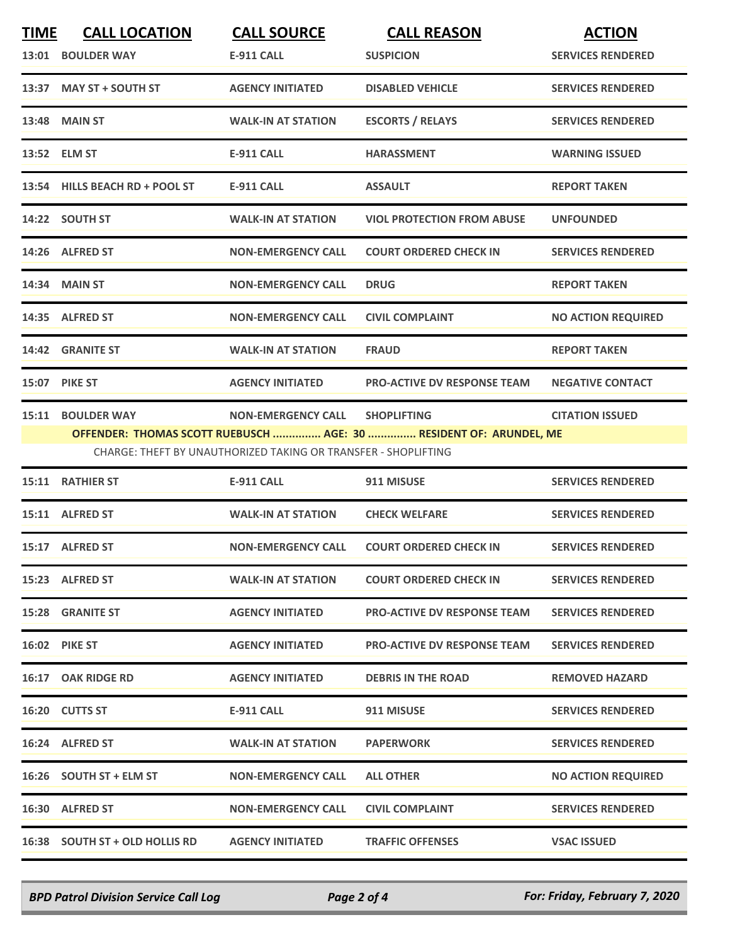| <b>TIME</b> | <b>CALL LOCATION</b>           | <b>CALL SOURCE</b>                                             | <b>CALL REASON</b>                                                 | <b>ACTION</b>             |
|-------------|--------------------------------|----------------------------------------------------------------|--------------------------------------------------------------------|---------------------------|
|             | 13:01 BOULDER WAY              | <b>E-911 CALL</b>                                              | <b>SUSPICION</b>                                                   | <b>SERVICES RENDERED</b>  |
|             | 13:37 MAY ST + SOUTH ST        | <b>AGENCY INITIATED</b>                                        | <b>DISABLED VEHICLE</b>                                            | <b>SERVICES RENDERED</b>  |
|             | 13:48 MAIN ST                  | <b>WALK-IN AT STATION</b>                                      | <b>ESCORTS / RELAYS</b>                                            | <b>SERVICES RENDERED</b>  |
|             | 13:52 ELM ST                   | <b>E-911 CALL</b>                                              | <b>HARASSMENT</b>                                                  | <b>WARNING ISSUED</b>     |
|             | 13:54 HILLS BEACH RD + POOL ST | <b>E-911 CALL</b>                                              | <b>ASSAULT</b>                                                     | <b>REPORT TAKEN</b>       |
|             | 14:22 SOUTH ST                 | <b>WALK-IN AT STATION</b>                                      | <b>VIOL PROTECTION FROM ABUSE</b>                                  | <b>UNFOUNDED</b>          |
|             | 14:26 ALFRED ST                | <b>NON-EMERGENCY CALL</b>                                      | <b>COURT ORDERED CHECK IN</b>                                      | <b>SERVICES RENDERED</b>  |
|             | 14:34 MAIN ST                  | <b>NON-EMERGENCY CALL</b>                                      | <b>DRUG</b>                                                        | <b>REPORT TAKEN</b>       |
|             | 14:35 ALFRED ST                | <b>NON-EMERGENCY CALL</b>                                      | <b>CIVIL COMPLAINT</b>                                             | <b>NO ACTION REQUIRED</b> |
|             | 14:42 GRANITE ST               | <b>WALK-IN AT STATION</b>                                      | <b>FRAUD</b>                                                       | <b>REPORT TAKEN</b>       |
|             | <b>15:07 PIKE ST</b>           | <b>AGENCY INITIATED</b>                                        | <b>PRO-ACTIVE DV RESPONSE TEAM</b>                                 | <b>NEGATIVE CONTACT</b>   |
|             | 15:11 BOULDER WAY              | <b>NON-EMERGENCY CALL</b>                                      | <b>SHOPLIFTING</b>                                                 | <b>CITATION ISSUED</b>    |
|             |                                | CHARGE: THEFT BY UNAUTHORIZED TAKING OR TRANSFER - SHOPLIFTING | OFFENDER: THOMAS SCOTT RUEBUSCH  AGE: 30  RESIDENT OF: ARUNDEL, ME |                           |
|             | <b>15:11 RATHIER ST</b>        | <b>E-911 CALL</b>                                              | 911 MISUSE                                                         | <b>SERVICES RENDERED</b>  |
|             | 15:11 ALFRED ST                | <b>WALK-IN AT STATION</b>                                      | <b>CHECK WELFARE</b>                                               | <b>SERVICES RENDERED</b>  |
|             | 15:17 ALFRED ST                | <b>NON-EMERGENCY CALL</b>                                      | <b>COURT ORDERED CHECK IN</b>                                      | <b>SERVICES RENDERED</b>  |
|             | 15:23 ALFRED ST                | <b>WALK-IN AT STATION</b>                                      | <b>COURT ORDERED CHECK IN</b>                                      | <b>SERVICES RENDERED</b>  |
|             | <b>15:28 GRANITE ST</b>        | <b>AGENCY INITIATED</b>                                        | <b>PRO-ACTIVE DV RESPONSE TEAM</b>                                 | <b>SERVICES RENDERED</b>  |
|             | <b>16:02 PIKE ST</b>           | <b>AGENCY INITIATED</b>                                        | <b>PRO-ACTIVE DV RESPONSE TEAM</b>                                 | <b>SERVICES RENDERED</b>  |
|             | 16:17 OAK RIDGE RD             | <b>AGENCY INITIATED</b>                                        | <b>DEBRIS IN THE ROAD</b>                                          | <b>REMOVED HAZARD</b>     |
|             | 16:20 CUTTS ST                 | E-911 CALL                                                     | 911 MISUSE                                                         | <b>SERVICES RENDERED</b>  |
|             | 16:24 ALFRED ST                | <b>WALK-IN AT STATION</b>                                      | <b>PAPERWORK</b>                                                   | <b>SERVICES RENDERED</b>  |
|             | 16:26 SOUTH ST + ELM ST        | <b>NON-EMERGENCY CALL</b>                                      | <b>ALL OTHER</b>                                                   | <b>NO ACTION REQUIRED</b> |
|             | 16:30 ALFRED ST                | <b>NON-EMERGENCY CALL</b>                                      | <b>CIVIL COMPLAINT</b>                                             | <b>SERVICES RENDERED</b>  |
|             | 16:38 SOUTH ST + OLD HOLLIS RD | <b>AGENCY INITIATED</b>                                        | <b>TRAFFIC OFFENSES</b>                                            | <b>VSAC ISSUED</b>        |

*BPD Patrol Division Service Call Log Page 2 of 4 For: Friday, February 7, 2020*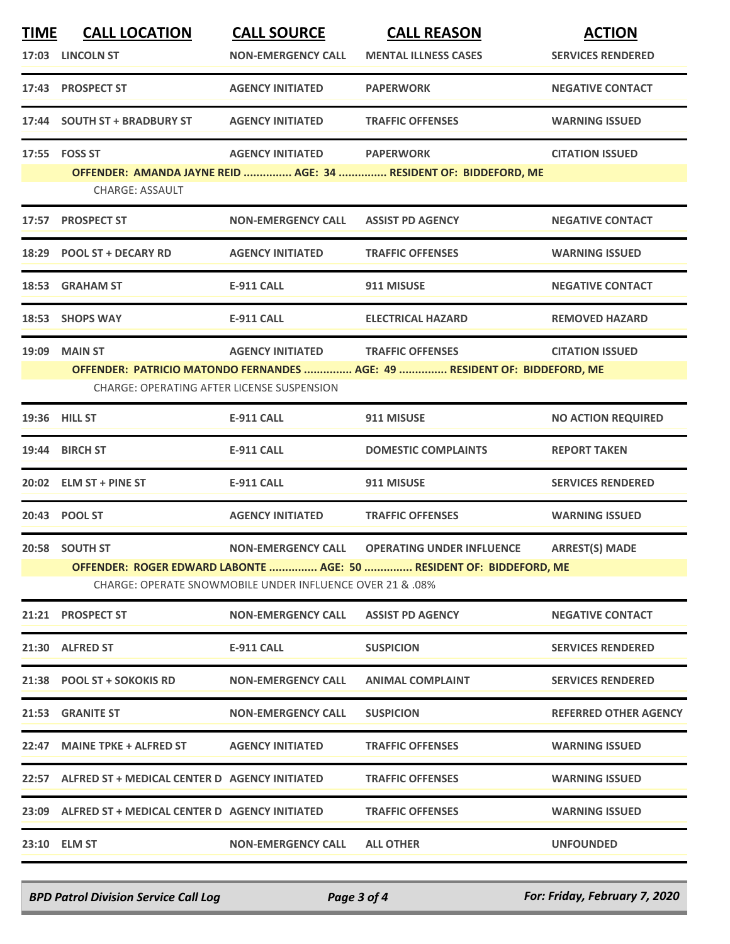| <b>TIME</b> | <b>CALL LOCATION</b>                                                                                                                        | <b>CALL SOURCE</b>        | <b>CALL REASON</b>                                                        | <b>ACTION</b>                |  |
|-------------|---------------------------------------------------------------------------------------------------------------------------------------------|---------------------------|---------------------------------------------------------------------------|------------------------------|--|
|             | 17:03 LINCOLN ST                                                                                                                            | <b>NON-EMERGENCY CALL</b> | <b>MENTAL ILLNESS CASES</b>                                               | <b>SERVICES RENDERED</b>     |  |
|             | 17:43 PROSPECT ST                                                                                                                           | <b>AGENCY INITIATED</b>   | <b>PAPERWORK</b>                                                          | <b>NEGATIVE CONTACT</b>      |  |
|             | 17:44 SOUTH ST + BRADBURY ST                                                                                                                | <b>AGENCY INITIATED</b>   | <b>TRAFFIC OFFENSES</b>                                                   | <b>WARNING ISSUED</b>        |  |
|             | 17:55    FOSS ST                                                                                                                            | <b>AGENCY INITIATED</b>   | <b>PAPERWORK</b>                                                          | <b>CITATION ISSUED</b>       |  |
|             | <b>CHARGE: ASSAULT</b>                                                                                                                      |                           | OFFENDER: AMANDA JAYNE REID  AGE: 34  RESIDENT OF: BIDDEFORD, ME          |                              |  |
|             | 17:57 PROSPECT ST                                                                                                                           | <b>NON-EMERGENCY CALL</b> | <b>ASSIST PD AGENCY</b>                                                   | <b>NEGATIVE CONTACT</b>      |  |
|             | 18:29 POOL ST + DECARY RD                                                                                                                   | <b>AGENCY INITIATED</b>   | <b>TRAFFIC OFFENSES</b>                                                   | <b>WARNING ISSUED</b>        |  |
|             | 18:53 GRAHAM ST                                                                                                                             | <b>E-911 CALL</b>         | 911 MISUSE                                                                | <b>NEGATIVE CONTACT</b>      |  |
|             | 18:53 SHOPS WAY                                                                                                                             | <b>E-911 CALL</b>         | <b>ELECTRICAL HAZARD</b>                                                  | <b>REMOVED HAZARD</b>        |  |
|             | <b>19:09 MAIN ST</b>                                                                                                                        | <b>AGENCY INITIATED</b>   | <b>TRAFFIC OFFENSES</b>                                                   | <b>CITATION ISSUED</b>       |  |
|             | CHARGE: OPERATING AFTER LICENSE SUSPENSION                                                                                                  |                           | OFFENDER: PATRICIO MATONDO FERNANDES  AGE: 49  RESIDENT OF: BIDDEFORD, ME |                              |  |
|             | 19:36 HILL ST                                                                                                                               | <b>E-911 CALL</b>         | 911 MISUSE                                                                | <b>NO ACTION REQUIRED</b>    |  |
|             | 19:44 BIRCH ST                                                                                                                              | <b>E-911 CALL</b>         | <b>DOMESTIC COMPLAINTS</b>                                                | <b>REPORT TAKEN</b>          |  |
|             | 20:02 ELM ST + PINE ST                                                                                                                      | <b>E-911 CALL</b>         | 911 MISUSE                                                                | <b>SERVICES RENDERED</b>     |  |
|             | 20:43 POOL ST                                                                                                                               | <b>AGENCY INITIATED</b>   | <b>TRAFFIC OFFENSES</b>                                                   | <b>WARNING ISSUED</b>        |  |
|             | 20:58 SOUTH ST                                                                                                                              | <b>NON-EMERGENCY CALL</b> | <b>OPERATING UNDER INFLUENCE</b>                                          | <b>ARREST(S) MADE</b>        |  |
|             | OFFENDER: ROGER EDWARD LABONTE  AGE: 50  RESIDENT OF: BIDDEFORD, ME<br><b>CHARGE: OPERATE SNOWMOBILE UNDER INFLUENCE OVER 21 &amp; .08%</b> |                           |                                                                           |                              |  |
|             | 21:21 PROSPECT ST                                                                                                                           | <b>NON-EMERGENCY CALL</b> | <b>ASSIST PD AGENCY</b>                                                   | <b>NEGATIVE CONTACT</b>      |  |
|             | 21:30 ALFRED ST                                                                                                                             | E-911 CALL                | <b>SUSPICION</b>                                                          | <b>SERVICES RENDERED</b>     |  |
|             | 21:38 POOL ST + SOKOKIS RD                                                                                                                  | <b>NON-EMERGENCY CALL</b> | <b>ANIMAL COMPLAINT</b>                                                   | <b>SERVICES RENDERED</b>     |  |
|             | 21:53 GRANITE ST                                                                                                                            | <b>NON-EMERGENCY CALL</b> | <b>SUSPICION</b>                                                          | <b>REFERRED OTHER AGENCY</b> |  |
|             | 22:47 MAINE TPKE + ALFRED ST                                                                                                                | <b>AGENCY INITIATED</b>   | <b>TRAFFIC OFFENSES</b>                                                   | <b>WARNING ISSUED</b>        |  |
|             | 22:57 ALFRED ST + MEDICAL CENTER D AGENCY INITIATED                                                                                         |                           | <b>TRAFFIC OFFENSES</b>                                                   | <b>WARNING ISSUED</b>        |  |
|             | 23:09 ALFRED ST + MEDICAL CENTER D AGENCY INITIATED                                                                                         |                           | <b>TRAFFIC OFFENSES</b>                                                   | <b>WARNING ISSUED</b>        |  |
|             | 23:10 ELM ST                                                                                                                                | <b>NON-EMERGENCY CALL</b> | <b>ALL OTHER</b>                                                          | <b>UNFOUNDED</b>             |  |
|             |                                                                                                                                             |                           |                                                                           |                              |  |

*BPD Patrol Division Service Call Log Page 3 of 4 For: Friday, February 7, 2020*